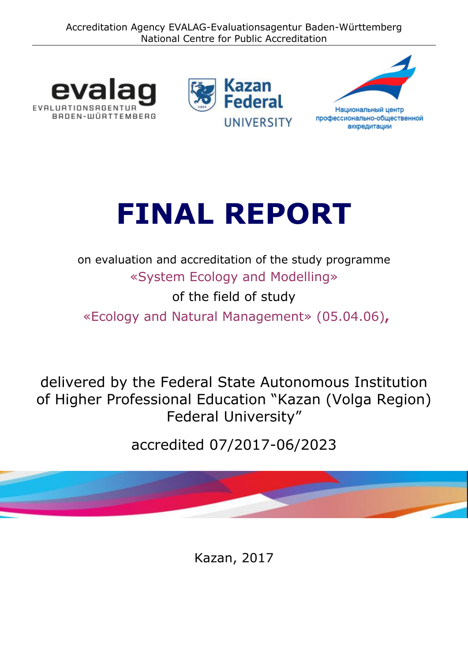Accreditation Agency EVALAG-Evaluationsagentur Baden-Württemberg National Centre for Public Accreditation







# **FINAL REPORT**

on evaluation and accreditation of the study programme «System Ecology and Modelling» of the field of study

«Ecology and Natural Management» (05.04.06)**,**

delivered by the Federal State Autonomous Institution of Higher Professional Education "Kazan (Volga Region) Federal University"

accredited 07/2017-06/2023

Kazan, 2017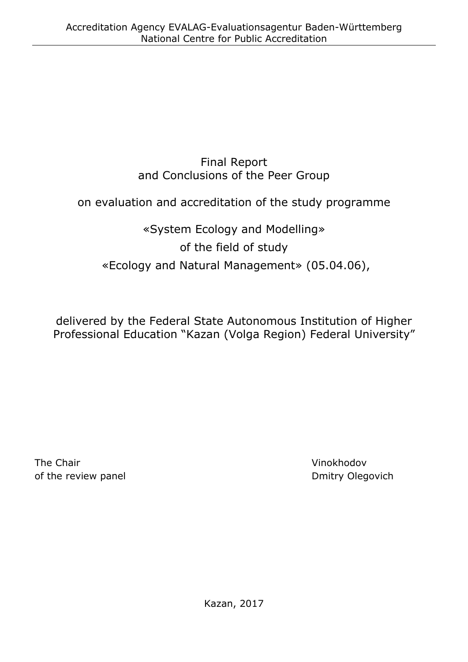## Final Report and Conclusions of the Peer Group

## on evaluation and accreditation of the study programme

## «System Ecology and Modelling» of the field of study «Ecology and Natural Management» (05.04.06),

delivered by the Federal State Autonomous Institution of Higher Professional Education "Kazan (Volga Region) Federal University"

The Chair **Vinokhodov** of the review panel and the review panel and the review panel of the review panel.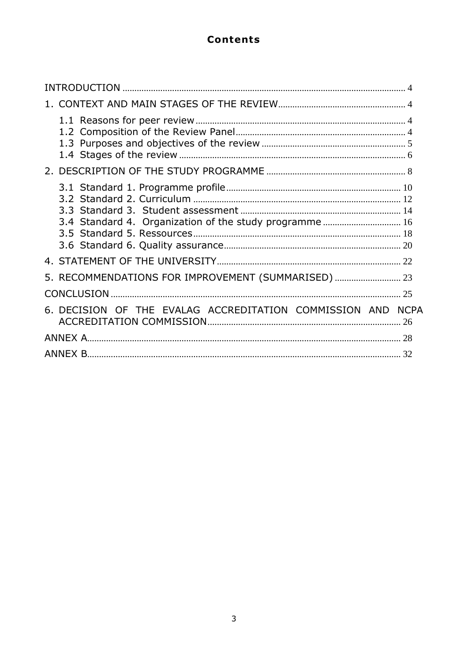## **Contents**

| 3.4 Standard 4. Organization of the study programme 16      |  |
|-------------------------------------------------------------|--|
|                                                             |  |
| 5. RECOMMENDATIONS FOR IMPROVEMENT (SUMMARISED)  23         |  |
|                                                             |  |
| 6. DECISION OF THE EVALAG ACCREDITATION COMMISSION AND NCPA |  |
|                                                             |  |
|                                                             |  |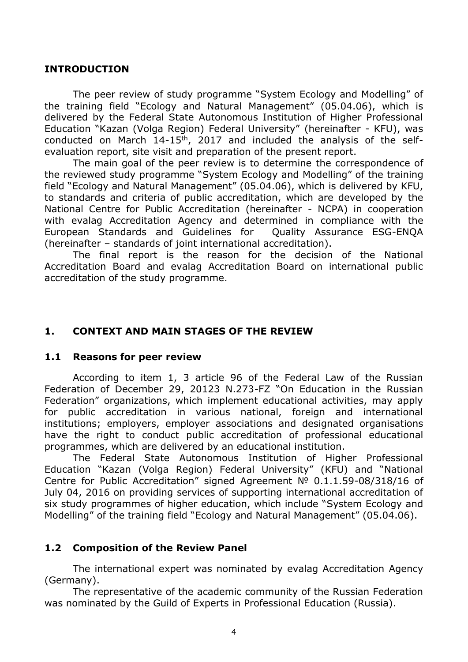#### <span id="page-3-0"></span>**INTRODUCTION**

The peer review of study programme "System Ecology and Modelling" of the training field "Ecology and Natural Management" (05.04.06), which is delivered by the Federal State Autonomous Institution of Higher Professional Education "Kazan (Volga Region) Federal University" (hereinafter - KFU), was conducted on March 14-15th, 2017 and included the analysis of the selfevaluation report, site visit and preparation of the present report.

The main goal of the peer review is to determine the correspondence of the reviewed study programme "System Ecology and Modelling" of the training field "Ecology and Natural Management" (05.04.06), which is delivered by KFU, to standards and criteria of public accreditation, which are developed by the National Centre for Public Accreditation (hereinafter - NCPA) in cooperation with evalag Accreditation Agency and determined in compliance with the European Standards and Guidelines for Quality Assurance ESG-ENQA (hereinafter – standards of joint international accreditation).

The final report is the reason for the decision of the National Accreditation Board and evalag Accreditation Board on international public accreditation of the study programme.

#### <span id="page-3-1"></span>**1. CONTEXT AND MAIN STAGES OF THE REVIEW**

#### <span id="page-3-2"></span>**1.1 Reasons for peer review**

According to item 1, 3 article 96 of the Federal Law of the Russian Federation of December 29, 20123 N.273-FZ "On Education in the Russian Federation" organizations, which implement educational activities, may apply for public accreditation in various national, foreign and international institutions; employers, employer associations and designated organisations have the right to conduct public accreditation of professional educational programmes, which are delivered by an educational institution.

The Federal State Autonomous Institution of Higher Professional Education "Kazan (Volga Region) Federal University" (KFU) and "National Centre for Public Accreditation" signed Agreement № 0.1.1.59-08/318/16 of July 04, 2016 on providing services of supporting international accreditation of six study programmes of higher education, which include "System Ecology and Modelling" of the training field "Ecology and Natural Management" (05.04.06).

#### <span id="page-3-3"></span>**1.2 Composition of the Review Panel**

The international expert was nominated by evalag Accreditation Agency (Germany).

The representative of the academic community of the Russian Federation was nominated by the Guild of Experts in Professional Education (Russia).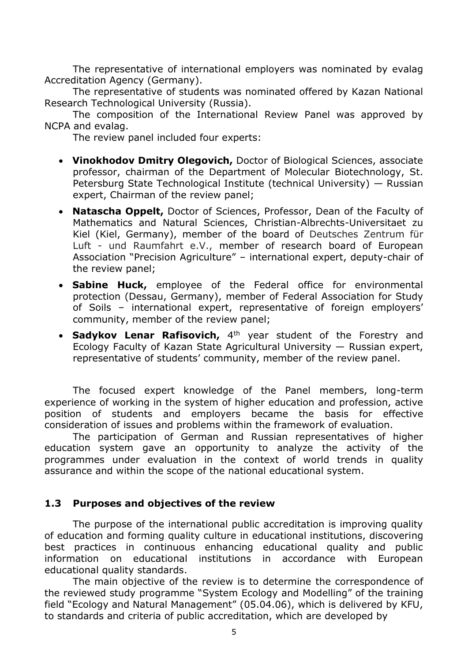The representative of international employers was nominated by evalag Accreditation Agency (Germany).

The representative of students was nominated offered by Kazan National Research Technological University (Russia).

The composition of the International Review Panel was approved by NCPA and evalag.

The review panel included four experts:

- **Vinokhodov Dmitry Olegovich,** Doctor of Biological Sciences, associate professor, chairman of the Department of Molecular Biotechnology, St. Petersburg State Technological Institute (technical University) — Russian expert, Chairman of the review panel;
- **Natascha Oppelt,** Doctor of Sciences, Professor, Dean of the Faculty of Mathematics and Natural Sciences, Christian-Albrechts-Universitaet zu Kiel (Kiel, Germany), member of the board of Deutsches Zentrum für Luft - und Raumfahrt e.V., member of research board of European Association "Precision Agriculture" – international expert, deputy-chair of the review panel;
- **Sabine Huck,** employee of the Federal office for environmental protection (Dessau, Germany), member of Federal Association for Study of Soils – international expert, representative of foreign employers' community, member of the review panel;
- **Sadykov Lenar Rafisovich,** 4<sup>th</sup> year student of the Forestry and Ecology Faculty of Kazan State Agricultural University — Russian expert, representative of students' community, member of the review panel.

The focused expert knowledge of the Panel members, long-term experience of working in the system of higher education and profession, active position of students and employers became the basis for effective consideration of issues and problems within the framework of evaluation.

The participation of German and Russian representatives of higher education system gave an opportunity to analyze the activity of the programmes under evaluation in the context of world trends in quality assurance and within the scope of the national educational system.

#### <span id="page-4-0"></span>**1.3 Purposes and objectives of the review**

The purpose of the international public accreditation is improving quality of education and forming quality culture in educational institutions, discovering best practices in continuous enhancing educational quality and public information on educational institutions in accordance with European educational quality standards.

The main objective of the review is to determine the correspondence of the reviewed study programme "System Ecology and Modelling" of the training field "Ecology and Natural Management" (05.04.06), which is delivered by KFU, to standards and criteria of public accreditation, which are developed by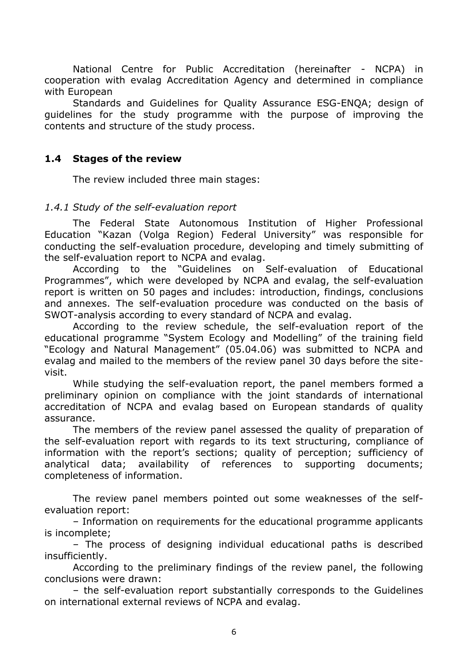National Centre for Public Accreditation (hereinafter - NCPA) in cooperation with evalag Accreditation Agency and determined in compliance with European

Standards and Guidelines for Quality Assurance ESG-ENQA; design of guidelines for the study programme with the purpose of improving the contents and structure of the study process.

#### <span id="page-5-0"></span>**1.4 Stages of the review**

The review included three main stages:

#### *1.4.1 Study of the self-evaluation report*

The Federal State Autonomous Institution of Higher Professional Education "Kazan (Volga Region) Federal University" was responsible for conducting the self-evaluation procedure, developing and timely submitting of the self-evaluation report to NCPA and evalag.

According to the "Guidelines on Self-evaluation of Educational Programmes", which were developed by NCPA and evalag, the self-evaluation report is written on 50 pages and includes: introduction, findings, conclusions and annexes. The self-evaluation procedure was conducted on the basis of SWOT-analysis according to every standard of NCPA and evalag.

According to the review schedule, the self-evaluation report of the educational programme "System Ecology and Modelling" of the training field "Ecology and Natural Management" (05.04.06) was submitted to NCPA and evalag and mailed to the members of the review panel 30 days before the sitevisit.

While studying the self-evaluation report, the panel members formed a preliminary opinion on compliance with the joint standards of international accreditation of NCPA and evalag based on European standards of quality assurance.

The members of the review panel assessed the quality of preparation of the self-evaluation report with regards to its text structuring, compliance of information with the report's sections; quality of perception; sufficiency of analytical data; availability of references to supporting documents; completeness of information.

The review panel members pointed out some weaknesses of the selfevaluation report:

– Information on requirements for the educational programme applicants is incomplete;

– The process of designing individual educational paths is described insufficiently.

According to the preliminary findings of the review panel, the following conclusions were drawn:

– the self-evaluation report substantially corresponds to the Guidelines on international external reviews of NCPA and evalag.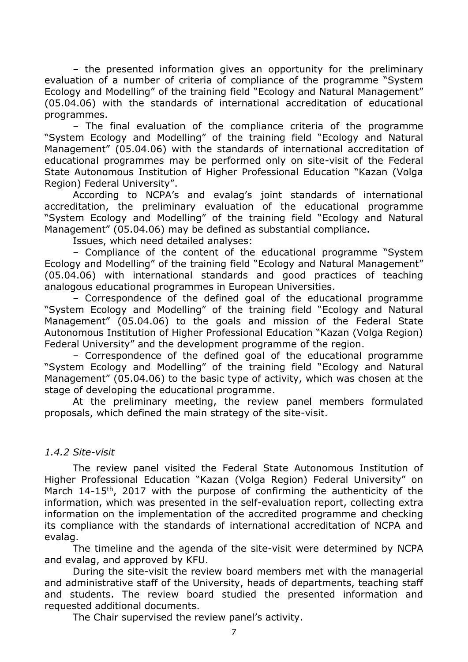– the presented information gives an opportunity for the preliminary evaluation of a number of criteria of compliance of the programme "System Ecology and Modelling" of the training field "Ecology and Natural Management" (05.04.06) with the standards of international accreditation of educational programmes.

– The final evaluation of the compliance criteria of the programme "System Ecology and Modelling" of the training field "Ecology and Natural Management" (05.04.06) with the standards of international accreditation of educational programmes may be performed only on site-visit of the Federal State Autonomous Institution of Higher Professional Education "Kazan (Volga Region) Federal University".

According to NCPA's and evalag's joint standards of international accreditation, the preliminary evaluation of the educational programme "System Ecology and Modelling" of the training field "Ecology and Natural Management" (05.04.06) may be defined as substantial compliance.

Issues, which need detailed analyses:

– Compliance of the content of the educational programme "System Ecology and Modelling" of the training field "Ecology and Natural Management" (05.04.06) with international standards and good practices of teaching analogous educational programmes in European Universities.

– Correspondence of the defined goal of the educational programme "System Ecology and Modelling" of the training field "Ecology and Natural Management" (05.04.06) to the goals and mission of the Federal State Autonomous Institution of Higher Professional Education "Kazan (Volga Region) Federal University" and the development programme of the region.

– Correspondence of the defined goal of the educational programme "System Ecology and Modelling" of the training field "Ecology and Natural Management" (05.04.06) to the basic type of activity, which was chosen at the stage of developing the educational programme.

At the preliminary meeting, the review panel members formulated proposals, which defined the main strategy of the site-visit.

#### *1.4.2 Site-visit*

The review panel visited the Federal State Autonomous Institution of Higher Professional Education "Kazan (Volga Region) Federal University" on March 14-15<sup>th</sup>, 2017 with the purpose of confirming the authenticity of the information, which was presented in the self-evaluation report, collecting extra information on the implementation of the accredited programme and checking its compliance with the standards of international accreditation of NCPA and evalag.

The timeline and the agenda of the site-visit were determined by NCPA and evalag, and approved by KFU.

During the site-visit the review board members met with the managerial and administrative staff of the University, heads of departments, teaching staff and students. The review board studied the presented information and requested additional documents.

The Chair supervised the review panel's activity.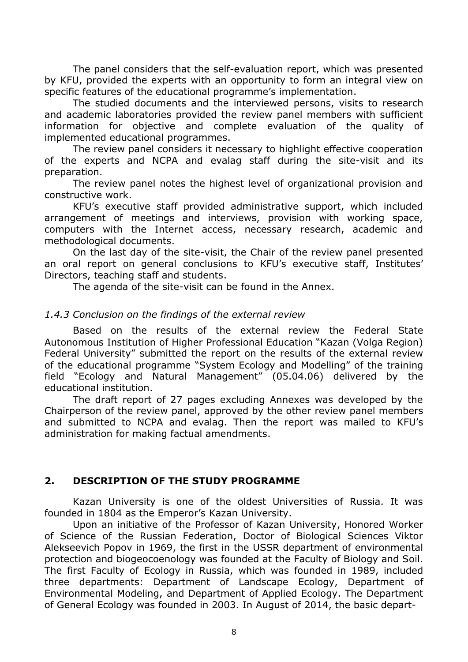The panel considers that the self-evaluation report, which was presented by KFU, provided the experts with an opportunity to form an integral view on specific features of the educational programme's implementation.

The studied documents and the interviewed persons, visits to research and academic laboratories provided the review panel members with sufficient information for objective and complete evaluation of the quality of implemented educational programmes.

The review panel considers it necessary to highlight effective cooperation of the experts and NCPA and evalag staff during the site-visit and its preparation.

The review panel notes the highest level of organizational provision and constructive work.

KFU's executive staff provided administrative support, which included arrangement of meetings and interviews, provision with working space, computers with the Internet access, necessary research, academic and methodological documents.

On the last day of the site-visit, the Chair of the review panel presented an oral report on general conclusions to KFU's executive staff, Institutes' Directors, teaching staff and students.

The agenda of the site-visit can be found in the Annex.

#### *1.4.3 Conclusion on the findings of the external review*

Based on the results of the external review the Federal State Autonomous Institution of Higher Professional Education "Kazan (Volga Region) Federal University" submitted the report on the results of the external review of the educational programme "System Ecology and Modelling" of the training field "Ecology and Natural Management" (05.04.06) delivered by the educational institution.

The draft report of 27 pages excluding Annexes was developed by the Chairperson of the review panel, approved by the other review panel members and submitted to NCPA and evalag. Then the report was mailed to KFU's administration for making factual amendments.

#### <span id="page-7-0"></span>**2. DESCRIPTION OF THE STUDY PROGRAMME**

Kazan University is one of the oldest Universities of Russia. It was founded in 1804 as the Emperor's Kazan University.

Upon an initiative of the Professor of Kazan University, Honored Worker of Science of the Russian Federation, Doctor of Biological Sciences Viktor Alekseevich Popov in 1969, the first in the USSR department of environmental protection and biogeocoenology was founded at the Faculty of Biology and Soil. The first Faculty of Ecology in Russia, which was founded in 1989, included three departments: Department of Landscape Ecology, Department of Environmental Modeling, and Department of Applied Ecology. The Department of General Ecology was founded in 2003. In August of 2014, the basic depart-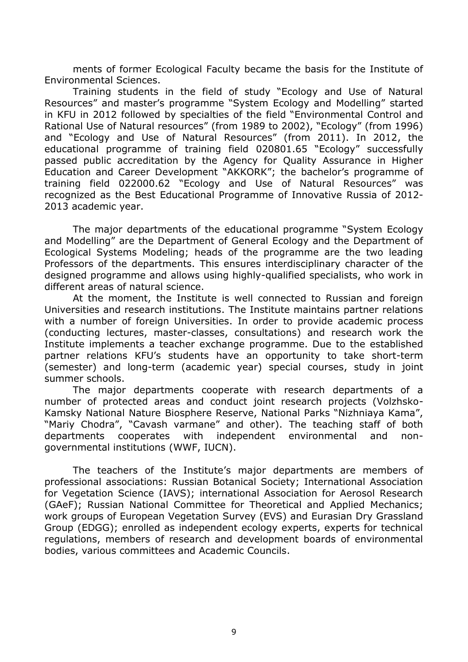ments of former Ecological Faculty became the basis for the Institute of Environmental Sciences.

Training students in the field of study "Ecology and Use of Natural Resources" and master's programme "System Ecology and Modelling" started in KFU in 2012 followed by specialties of the field "Environmental Control and Rational Use of Natural resources" (from 1989 to 2002), "Ecology" (from 1996) and "Ecology and Use of Natural Resources" (from 2011). In 2012, the educational programme of training field 020801.65 "Ecology" successfully passed public accreditation by the Agency for Quality Assurance in Higher Education and Career Development "AKKORK"; the bachelor's programme of training field 022000.62 "Ecology and Use of Natural Resources" was recognized as the Best Educational Programme of Innovative Russia of 2012- 2013 academic year.

The major departments of the educational programme "System Ecology and Modelling" are the Department of General Ecology and the Department of Ecological Systems Modeling; heads of the programme are the two leading Professors of the departments. This ensures interdisciplinary character of the designed programme and allows using highly-qualified specialists, who work in different areas of natural science.

At the moment, the Institute is well connected to Russian and foreign Universities and research institutions. The Institute maintains partner relations with a number of foreign Universities. In order to provide academic process (conducting lectures, master-classes, consultations) and research work the Institute implements a teacher exchange programme. Due to the established partner relations KFU's students have an opportunity to take short-term (semester) and long-term (academic year) special courses, study in joint summer schools.

The major departments cooperate with research departments of a number of protected areas and conduct joint research projects (Volzhsko-Kamsky National Nature Biosphere Reserve, National Parks "Nizhniaya Kama", "Mariy Chodra", "Cavash varmane" and other). The teaching staff of both departments cooperates with independent environmental and nongovernmental institutions (WWF, IUCN).

The teachers of the Institute's major departments are members of professional associations: Russian Botanical Society; International Association for Vegetation Science (IAVS); international Association for Aerosol Research (GAeF); Russian National Committee for Theoretical and Applied Mechanics; work groups of European Vegetation Survey (EVS) and Eurasian Dry Grassland Group (EDGG); enrolled as independent ecology experts, experts for technical regulations, members of research and development boards of environmental bodies, various committees and Academic Councils.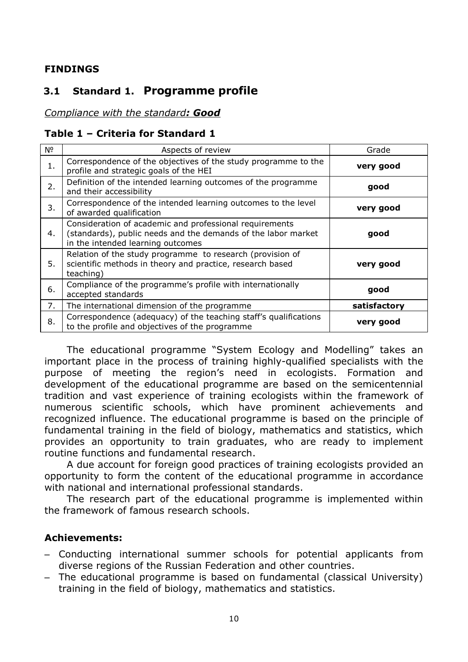#### <span id="page-9-0"></span>**FINDINGS**

## **3.1 Standard 1. Programme profile**

#### *Compliance with the standard: Good*

#### **Table 1 – Criteria for Standard 1**

| Nº | Aspects of review                                                                                                                                             | Grade        |
|----|---------------------------------------------------------------------------------------------------------------------------------------------------------------|--------------|
| 1. | Correspondence of the objectives of the study programme to the<br>profile and strategic goals of the HEI                                                      | very good    |
| 2. | Definition of the intended learning outcomes of the programme<br>and their accessibility                                                                      | good         |
| 3. | Correspondence of the intended learning outcomes to the level<br>of awarded qualification                                                                     | very good    |
| 4. | Consideration of academic and professional requirements<br>(standards), public needs and the demands of the labor market<br>in the intended learning outcomes | good         |
| 5. | Relation of the study programme to research (provision of<br>scientific methods in theory and practice, research based<br>teaching)                           | very good    |
| 6. | Compliance of the programme's profile with internationally<br>accepted standards                                                                              | good         |
| 7. | The international dimension of the programme                                                                                                                  | satisfactory |
| 8. | Correspondence (adequacy) of the teaching staff's qualifications<br>to the profile and objectives of the programme                                            | very good    |

The educational programme "System Ecology and Modelling" takes an important place in the process of training highly-qualified specialists with the purpose of meeting the region's need in ecologists. Formation and development of the educational programme are based on the semicentennial tradition and vast experience of training ecologists within the framework of numerous scientific schools, which have prominent achievements and recognized influence. The educational programme is based on the principle of fundamental training in the field of biology, mathematics and statistics, which provides an opportunity to train graduates, who are ready to implement routine functions and fundamental research.

A due account for foreign good practices of training ecologists provided an opportunity to form the content of the educational programme in accordance with national and international professional standards.

The research part of the educational programme is implemented within the framework of famous research schools.

#### **Achievements:**

- Conducting international summer schools for potential applicants from diverse regions of the Russian Federation and other countries.
- The educational programme is based on fundamental (classical University) training in the field of biology, mathematics and statistics.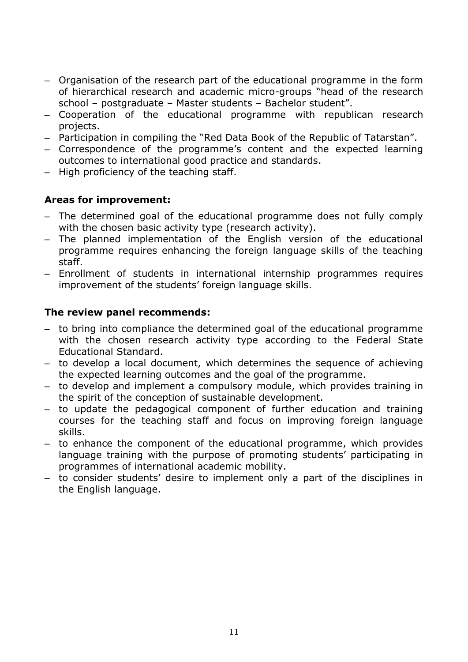- Organisation of the research part of the educational programme in the form of hierarchical research and academic micro-groups "head of the research school – postgraduate – Master students – Bachelor student".
- Cooperation of the educational programme with republican research projects.
- Participation in compiling the "Red Data Book of the Republic of Tatarstan".
- Correspondence of the programme's content and the expected learning outcomes to international good practice and standards.
- High proficiency of the teaching staff.

#### **Areas for improvement:**

- The determined goal of the educational programme does not fully comply with the chosen basic activity type (research activity).
- The planned implementation of the English version of the educational programme requires enhancing the foreign language skills of the teaching staff.
- Enrollment of students in international internship programmes requires improvement of the students' foreign language skills.

#### **The review panel recommends:**

- to bring into compliance the determined goal of the educational programme with the chosen research activity type according to the Federal State Educational Standard.
- to develop a local document, which determines the sequence of achieving the expected learning outcomes and the goal of the programme.
- to develop and implement a compulsory module, which provides training in the spirit of the conception of sustainable development.
- to update the pedagogical component of further education and training courses for the teaching staff and focus on improving foreign language skills.
- to enhance the component of the educational programme, which provides language training with the purpose of promoting students' participating in programmes of international academic mobility.
- to consider students' desire to implement only a part of the disciplines in the English language.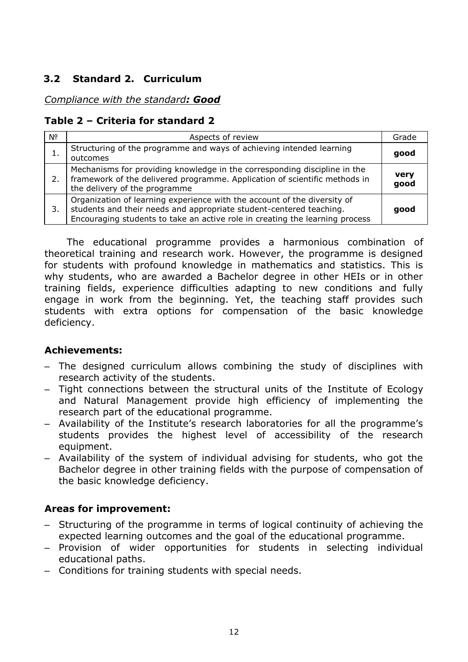## <span id="page-11-0"></span>**3.2 Standard 2. Curriculum**

#### *Compliance with the standard: Good*

#### **Table 2 – Criteria for standard 2**

| Nº | Aspects of review                                                                                                                                                                                                               | Grade        |
|----|---------------------------------------------------------------------------------------------------------------------------------------------------------------------------------------------------------------------------------|--------------|
|    | Structuring of the programme and ways of achieving intended learning<br>outcomes                                                                                                                                                | good         |
|    | Mechanisms for providing knowledge in the corresponding discipline in the<br>framework of the delivered programme. Application of scientific methods in<br>the delivery of the programme                                        | very<br>good |
| 3. | Organization of learning experience with the account of the diversity of<br>students and their needs and appropriate student-centered teaching.<br>Encouraging students to take an active role in creating the learning process | good         |

The educational programme provides a harmonious combination of theoretical training and research work. However, the programme is designed for students with profound knowledge in mathematics and statistics. This is why students, who are awarded a Bachelor degree in other HEIs or in other training fields, experience difficulties adapting to new conditions and fully engage in work from the beginning. Yet, the teaching staff provides such students with extra options for compensation of the basic knowledge deficiency.

#### **Achievements:**

- The designed curriculum allows combining the study of disciplines with research activity of the students.
- Tight connections between the structural units of the Institute of Ecology and Natural Management provide high efficiency of implementing the research part of the educational programme.
- Availability of the Institute's research laboratories for all the programme's students provides the highest level of accessibility of the research equipment.
- Availability of the system of individual advising for students, who got the Bachelor degree in other training fields with the purpose of compensation of the basic knowledge deficiency.

#### **Areas for improvement:**

- Structuring of the programme in terms of logical continuity of achieving the expected learning outcomes and the goal of the educational programme.
- Provision of wider opportunities for students in selecting individual educational paths.
- Conditions for training students with special needs.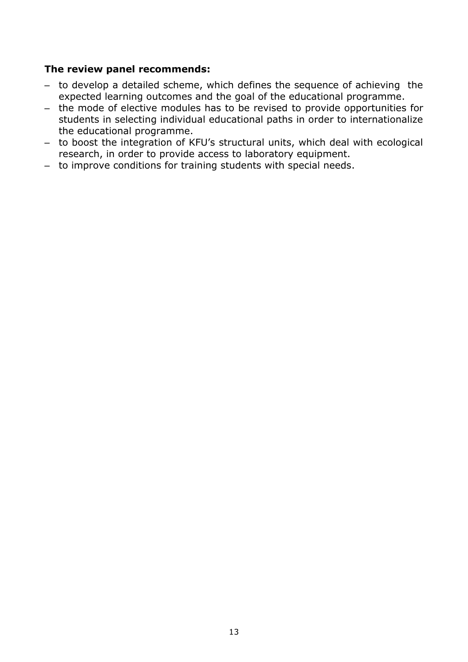#### **The review panel recommends:**

- to develop a detailed scheme, which defines the sequence of achieving the expected learning outcomes and the goal of the educational programme.
- the mode of elective modules has to be revised to provide opportunities for students in selecting individual educational paths in order to internationalize the educational programme.
- to boost the integration of KFU's structural units, which deal with ecological research, in order to provide access to laboratory equipment.
- to improve conditions for training students with special needs.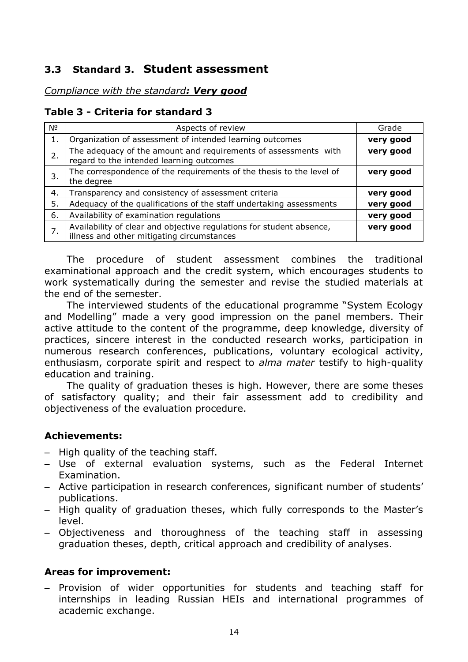## <span id="page-13-0"></span>**3.3 Standard 3. Student assessment**

#### *Compliance with the standard: Very good*

#### **Table 3 - Criteria for standard 3**

| Nº | Aspects of review                                                                                                  | Grade     |
|----|--------------------------------------------------------------------------------------------------------------------|-----------|
|    | Organization of assessment of intended learning outcomes                                                           | very good |
| 2. | The adequacy of the amount and requirements of assessments with<br>regard to the intended learning outcomes        | very good |
| 3. | The correspondence of the requirements of the thesis to the level of<br>the degree                                 | very good |
| 4. | Transparency and consistency of assessment criteria                                                                | very good |
| 5. | Adequacy of the qualifications of the staff undertaking assessments                                                | very good |
| 6. | Availability of examination regulations                                                                            | very good |
| 7. | Availability of clear and objective regulations for student absence,<br>illness and other mitigating circumstances | very good |

The procedure of student assessment combines the traditional examinational approach and the credit system, which encourages students to work systematically during the semester and revise the studied materials at the end of the semester.

The interviewed students of the educational programme "System Ecology and Modelling" made a very good impression on the panel members. Their active attitude to the content of the programme, deep knowledge, diversity of practices, sincere interest in the conducted research works, participation in numerous research conferences, publications, voluntary ecological activity, enthusiasm, corporate spirit and respect to *alma mater* testify to high-quality education and training.

The quality of graduation theses is high. However, there are some theses of satisfactory quality; and their fair assessment add to credibility and objectiveness of the evaluation procedure.

#### **Achievements:**

- High quality of the teaching staff.
- Use of external evaluation systems, such as the Federal Internet Examination.
- Active participation in research conferences, significant number of students' publications.
- High quality of graduation theses, which fully corresponds to the Master's level.
- Objectiveness and thoroughness of the teaching staff in assessing graduation theses, depth, critical approach and credibility of analyses.

#### **Areas for improvement:**

– Provision of wider opportunities for students and teaching staff for internships in leading Russian HEIs and international programmes of academic exchange.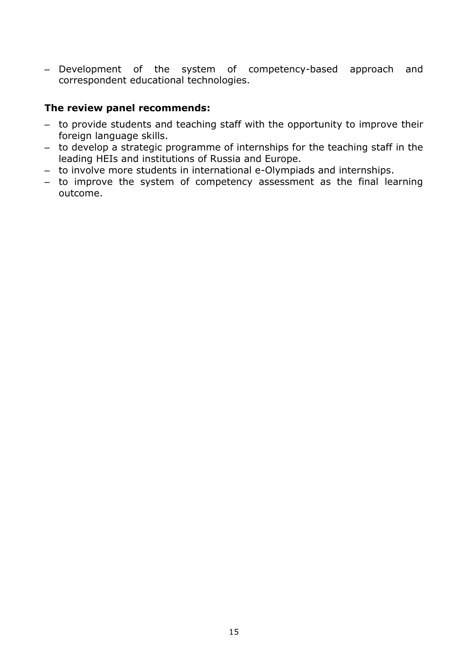– Development of the system of competency-based approach and correspondent educational technologies.

#### **The review panel recommends:**

- to provide students and teaching staff with the opportunity to improve their foreign language skills.
- to develop a strategic programme of internships for the teaching staff in the leading HEIs and institutions of Russia and Europe.
- to involve more students in international e-Olympiads and internships.
- to improve the system of competency assessment as the final learning outcome.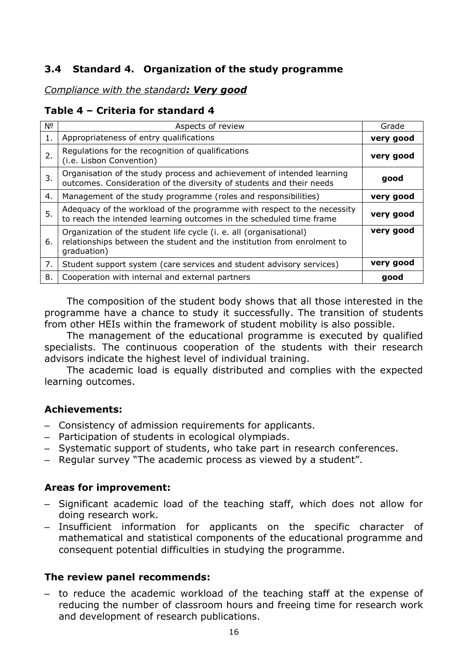## <span id="page-15-0"></span>**3.4 Standard 4. Organization of the study programme**

#### *Compliance with the standard: Very good*

#### **Table 4 – Criteria for standard 4**

| Νº | Aspects of review                                                                                                                                            | Grade     |
|----|--------------------------------------------------------------------------------------------------------------------------------------------------------------|-----------|
| 1. | Appropriateness of entry qualifications                                                                                                                      | very good |
| 2. | Regulations for the recognition of qualifications<br>(i.e. Lisbon Convention)                                                                                | very good |
| 3. | Organisation of the study process and achievement of intended learning<br>outcomes. Consideration of the diversity of students and their needs               | good      |
| 4. | Management of the study programme (roles and responsibilities)                                                                                               | very good |
| 5. | Adequacy of the workload of the programme with respect to the necessity<br>to reach the intended learning outcomes in the scheduled time frame               | very good |
| 6. | Organization of the student life cycle (i. e. all (organisational)<br>relationships between the student and the institution from enrolment to<br>graduation) | very good |
| 7. | Student support system (care services and student advisory services)                                                                                         | very good |
| 8. | Cooperation with internal and external partners                                                                                                              | good      |

The composition of the student body shows that all those interested in the programme have a chance to study it successfully. The transition of students from other HEIs within the framework of student mobility is also possible.

The management of the educational programme is executed by qualified specialists. The continuous cooperation of the students with their research advisors indicate the highest level of individual training.

The academic load is equally distributed and complies with the expected learning outcomes.

#### **Achievements:**

- Consistency of admission requirements for applicants.
- Participation of students in ecological olympiads.
- Systematic support of students, who take part in research conferences.
- Regular survey "The academic process as viewed by a student".

#### **Areas for improvement:**

- Significant academic load of the teaching staff, which does not allow for doing research work.
- Insufficient information for applicants on the specific character of mathematical and statistical components of the educational programme and consequent potential difficulties in studying the programme.

#### **The review panel recommends:**

– to reduce the academic workload of the teaching staff at the expense of reducing the number of classroom hours and freeing time for research work and development of research publications.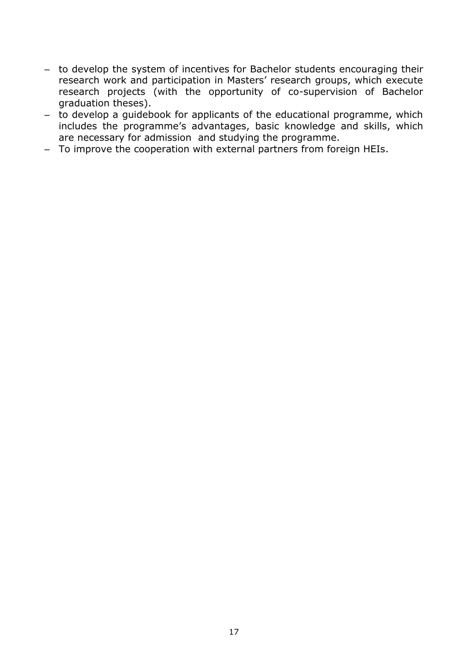- to develop the system of incentives for Bachelor students encouraging their research work and participation in Masters' research groups, which execute research projects (with the opportunity of co-supervision of Bachelor graduation theses).
- to develop a guidebook for applicants of the educational programme, which includes the programme's advantages, basic knowledge and skills, which are necessary for admission and studying the programme.
- To improve the cooperation with external partners from foreign HEIs.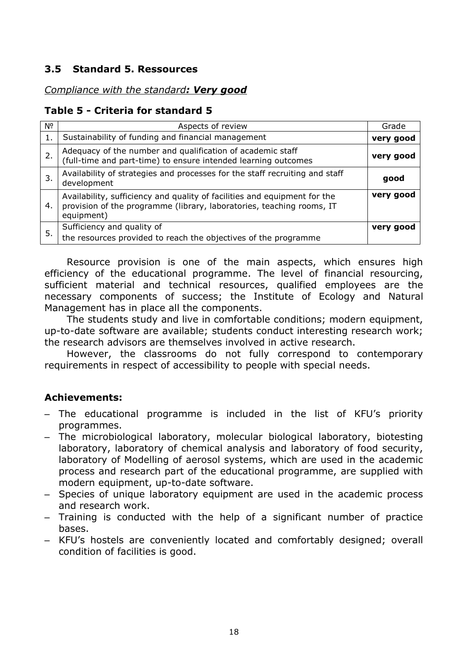#### <span id="page-17-0"></span>**3.5 Standard 5. Ressources**

#### *Compliance with the standard: Very good*

#### **Table 5 - Criteria for standard 5**

| Νº | Aspects of review                                                                                                                                                | Grade     |
|----|------------------------------------------------------------------------------------------------------------------------------------------------------------------|-----------|
| 1. | Sustainability of funding and financial management                                                                                                               | very good |
| 2. | Adequacy of the number and qualification of academic staff (full-time and part-time) to ensure intended learning outcomes                                        | very good |
| 3. | Availability of strategies and processes for the staff recruiting and staff<br>development                                                                       | good      |
| 4. | Availability, sufficiency and quality of facilities and equipment for the<br>provision of the programme (library, laboratories, teaching rooms, IT<br>equipment) | very good |
| 5. | Sufficiency and quality of<br>the resources provided to reach the objectives of the programme                                                                    | very good |

Resource provision is one of the main aspects, which ensures high efficiency of the educational programme. The level of financial resourcing, sufficient material and technical resources, qualified employees are the necessary components of success; the Institute of Ecology and Natural Management has in place all the components.

The students study and live in comfortable conditions; modern equipment, up-to-date software are available; students conduct interesting research work; the research advisors are themselves involved in active research.

However, the classrooms do not fully correspond to contemporary requirements in respect of accessibility to people with special needs.

#### **Achievements:**

- The educational programme is included in the list of KFU's priority programmes.
- The microbiological laboratory, molecular biological laboratory, biotesting laboratory, laboratory of chemical analysis and laboratory of food security, laboratory of Modelling of aerosol systems, which are used in the academic process and research part of the educational programme, are supplied with modern equipment, up-to-date software.
- Species of unique laboratory equipment are used in the academic process and research work.
- Training is conducted with the help of a significant number of practice bases.
- KFU's hostels are conveniently located and comfortably designed; overall condition of facilities is good.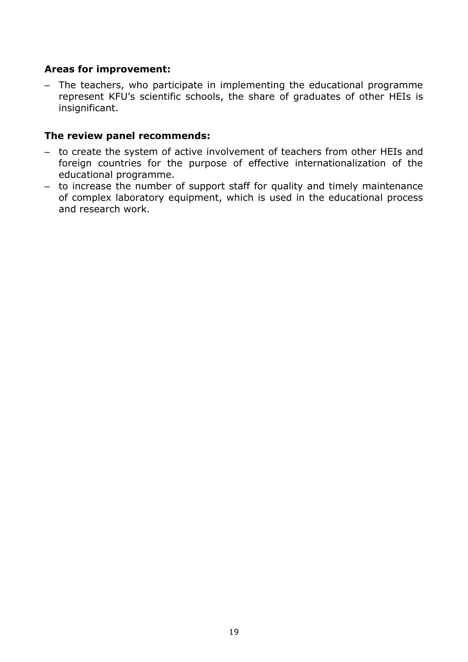#### **Areas for improvement:**

– The teachers, who participate in implementing the educational programme represent KFU's scientific schools, the share of graduates of other HEIs is insignificant.

#### **The review panel recommends:**

- to create the system of active involvement of teachers from other HEIs and foreign countries for the purpose of effective internationalization of the educational programme.
- to increase the number of support staff for quality and timely maintenance of complex laboratory equipment, which is used in the educational process and research work.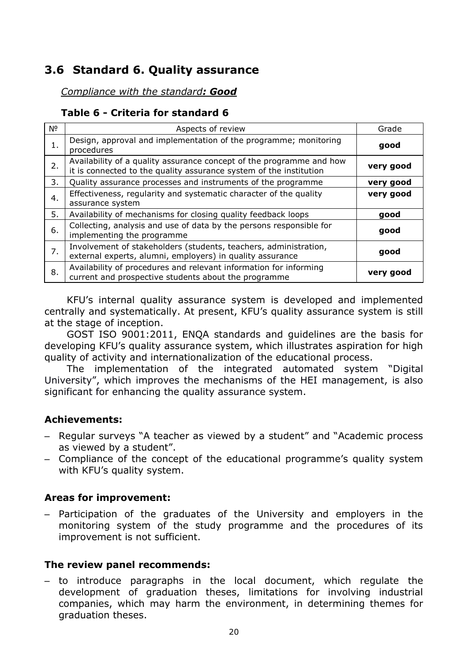## <span id="page-19-0"></span>**3.6 Standard 6. Quality assurance**

#### *Compliance with the standard: Good*

#### **Table 6 - Criteria for standard 6**

| N <sup>o</sup> | Aspects of review                                                                                                                          | Grade     |
|----------------|--------------------------------------------------------------------------------------------------------------------------------------------|-----------|
| 1.             | Design, approval and implementation of the programme; monitoring<br>procedures                                                             | good      |
| 2.             | Availability of a quality assurance concept of the programme and how<br>it is connected to the quality assurance system of the institution | very good |
| 3.             | Quality assurance processes and instruments of the programme                                                                               | very good |
| 4.             | Effectiveness, regularity and systematic character of the quality<br>assurance system                                                      | very good |
| 5.             | Availability of mechanisms for closing quality feedback loops                                                                              | good      |
| 6.             | Collecting, analysis and use of data by the persons responsible for<br>implementing the programme                                          | good      |
| 7.             | Involvement of stakeholders (students, teachers, administration,<br>external experts, alumni, employers) in quality assurance              | good      |
| 8.             | Availability of procedures and relevant information for informing<br>current and prospective students about the programme                  | very good |

KFU's internal quality assurance system is developed and implemented centrally and systematically. At present, KFU's quality assurance system is still at the stage of inception.

GOST ISO 9001:2011, ENQA standards and guidelines are the basis for developing KFU's quality assurance system, which illustrates aspiration for high quality of activity and internationalization of the educational process.

The implementation of the integrated automated system "Digital University", which improves the mechanisms of the HEI management, is also significant for enhancing the quality assurance system.

#### **Achievements:**

- Regular surveys "A teacher as viewed by a student" and "Academic process as viewed by a student".
- Compliance of the concept of the educational programme's quality system with KFU's quality system.

#### **Areas for improvement:**

– Participation of the graduates of the University and employers in the monitoring system of the study programme and the procedures of its improvement is not sufficient.

#### **The review panel recommends:**

– to introduce paragraphs in the local document, which regulate the development of graduation theses, limitations for involving industrial companies, which may harm the environment, in determining themes for graduation theses.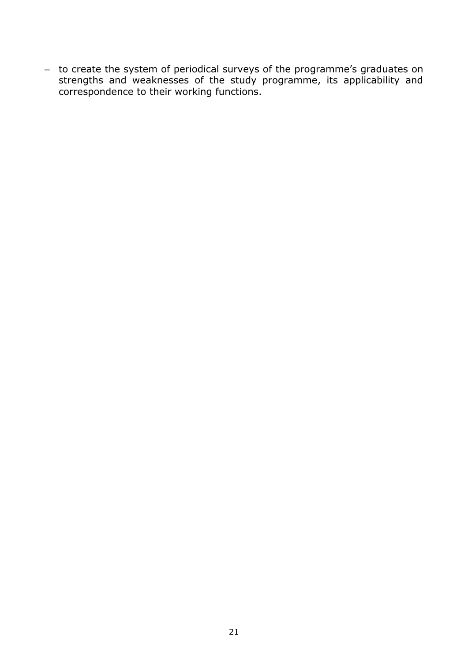– to create the system of periodical surveys of the programme's graduates on strengths and weaknesses of the study programme, its applicability and correspondence to their working functions.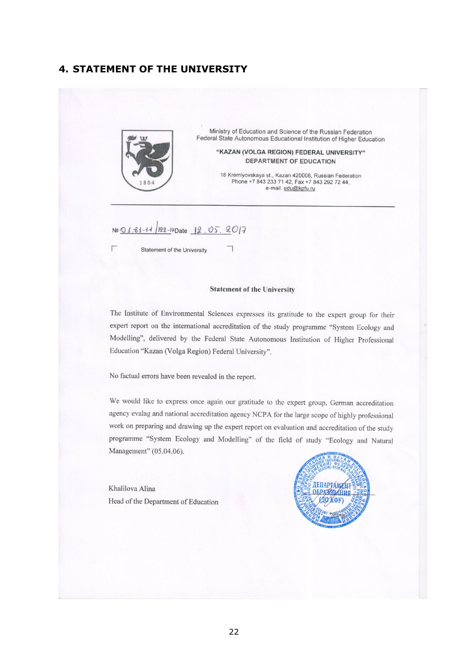#### <span id="page-21-0"></span>**4. STATEMENT OF THE UNIVERSITY**



Ministry of Education and Science of the Russian Federation Federal State Autonomous Educational Institution of Higher Education

> "KAZAN (VOLGA REGION) FEDERAL UNIVERSITY" DEPARTMENT OF EDUCATION

18 Kremlyovskaya st., Kazan 420008, Russian Federation<br>Phone +7 843 233 71 42, Fax +7 843 292 72 44, e-mail: edu@kpfu.ru

No <u>01.81-14</u> 22-PDate 12.05.2017

Statement of the University

#### **Statement of the University**

┑

The Institute of Environmental Sciences expresses its gratitude to the expert group for their expert report on the international accreditation of the study programme "System Ecology and Modelling", delivered by the Federal State Autonomous Institution of Higher Professional Education "Kazan (Volga Region) Federal University".

No factual errors have been revealed in the report.

We would like to express once again our gratitude to the expert group, German accreditation agency evalag and national accreditation agency NCPA for the large scope of highly professional work on preparing and drawing up the expert report on evaluation and accreditation of the study programme "System Ecology and Modelling" of the field of study "Ecology and Natural Management" (05.04.06).

Khalilova Alina Head of the Department of Education

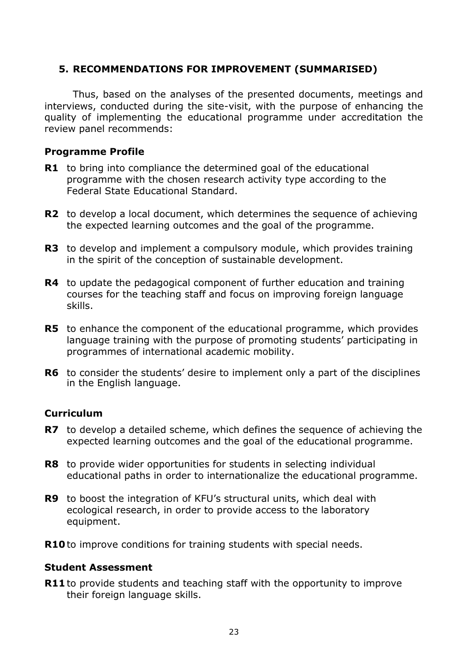#### <span id="page-22-0"></span>**5. RECOMMENDATIONS FOR IMPROVEMENT (SUMMARISED)**

Thus, based on the analyses of the presented documents, meetings and interviews, conducted during the site-visit, with the purpose of enhancing the quality of implementing the educational programme under accreditation the review panel recommends:

#### **Programme Profile**

- **R1** to bring into compliance the determined goal of the educational programme with the chosen research activity type according to the Federal State Educational Standard.
- **R2** to develop a local document, which determines the sequence of achieving the expected learning outcomes and the goal of the programme.
- **R3** to develop and implement a compulsory module, which provides training in the spirit of the conception of sustainable development.
- **R4** to update the pedagogical component of further education and training courses for the teaching staff and focus on improving foreign language skills.
- **R5** to enhance the component of the educational programme, which provides language training with the purpose of promoting students' participating in programmes of international academic mobility.
- **R6** to consider the students' desire to implement only a part of the disciplines in the English language.

#### **Curriculum**

- **R7** to develop a detailed scheme, which defines the sequence of achieving the expected learning outcomes and the goal of the educational programme.
- **R8** to provide wider opportunities for students in selecting individual educational paths in order to internationalize the educational programme.
- **R9** to boost the integration of KFU's structural units, which deal with ecological research, in order to provide access to the laboratory equipment.
- **R10** to improve conditions for training students with special needs.

#### **Student Assessment**

**R11** to provide students and teaching staff with the opportunity to improve their foreign language skills.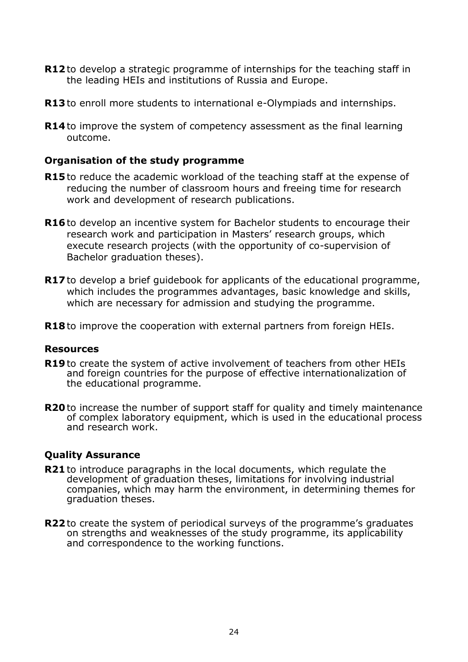- **R12** to develop a strategic programme of internships for the teaching staff in the leading HEIs and institutions of Russia and Europe.
- **R13** to enroll more students to international e-Olympiads and internships.
- **R14** to improve the system of competency assessment as the final learning outcome.

#### **Organisation of the study programme**

- **R15** to reduce the academic workload of the teaching staff at the expense of reducing the number of classroom hours and freeing time for research work and development of research publications.
- **R16** to develop an incentive system for Bachelor students to encourage their research work and participation in Masters' research groups, which execute research projects (with the opportunity of co-supervision of Bachelor graduation theses).
- **R17** to develop a brief quidebook for applicants of the educational programme, which includes the programmes advantages, basic knowledge and skills, which are necessary for admission and studying the programme.
- **R18** to improve the cooperation with external partners from foreign HEIs.

#### **Resources**

- **R19** to create the system of active involvement of teachers from other HEIs and foreign countries for the purpose of effective internationalization of the educational programme.
- **R20** to increase the number of support staff for quality and timely maintenance of complex laboratory equipment, which is used in the educational process and research work.

#### **Quality Assurance**

- **R21** to introduce paragraphs in the local documents, which regulate the development of graduation theses, limitations for involving industrial companies, which may harm the environment, in determining themes for graduation theses.
- **R22** to create the system of periodical surveys of the programme's graduates on strengths and weaknesses of the study programme, its applicability and correspondence to the working functions.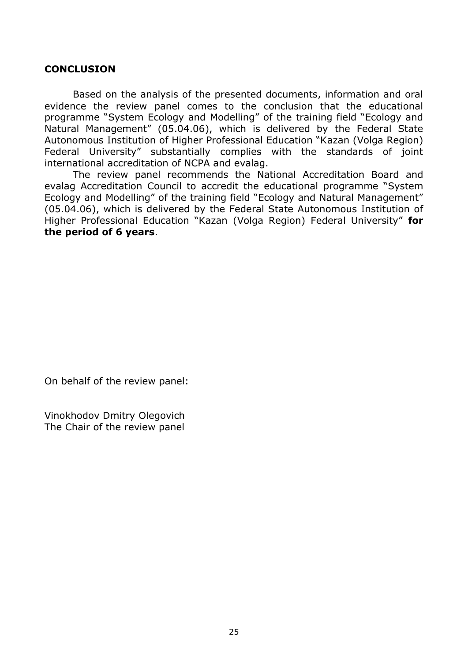#### <span id="page-24-0"></span>**CONCLUSION**

Based on the analysis of the presented documents, information and oral evidence the review panel comes to the conclusion that the educational programme "System Ecology and Modelling" of the training field "Ecology and Natural Management" (05.04.06), which is delivered by the Federal State Autonomous Institution of Higher Professional Education "Kazan (Volga Region) Federal University" substantially complies with the standards of joint international accreditation of NCPA and evalag.

The review panel recommends the National Accreditation Board and evalag Accreditation Council to accredit the educational programme "System Ecology and Modelling" of the training field "Ecology and Natural Management" (05.04.06), which is delivered by the Federal State Autonomous Institution of Higher Professional Education "Kazan (Volga Region) Federal University" **for the period of 6 years**.

On behalf of the review panel:

Vinokhodov Dmitry Olegovich The Chair of the review panel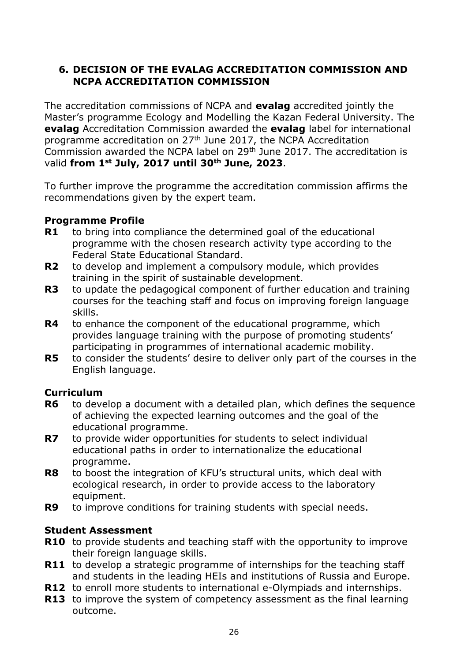## <span id="page-25-0"></span>**6. DECISION OF THE EVALAG ACCREDITATION COMMISSION AND NCPA ACCREDITATION COMMISSION**

The accreditation commissions of NCPA and **evalag** accredited jointly the Master's programme Ecology and Modelling the Kazan Federal University. The **evalag** Accreditation Commission awarded the **evalag** label for international programme accreditation on 27th June 2017, the NCPA Accreditation Commission awarded the NCPA label on 29th June 2017. The accreditation is valid **from 1st July, 2017 until 30th June, 2023**.

To further improve the programme the accreditation commission affirms the recommendations given by the expert team.

#### **Programme Profile**

- **R1** to bring into compliance the determined goal of the educational programme with the chosen research activity type according to the Federal State Educational Standard.
- **R2** to develop and implement a compulsory module, which provides training in the spirit of sustainable development.
- **R3** to update the pedagogical component of further education and training courses for the teaching staff and focus on improving foreign language skills.
- **R4** to enhance the component of the educational programme, which provides language training with the purpose of promoting students' participating in programmes of international academic mobility.
- **R5** to consider the students' desire to deliver only part of the courses in the English language.

#### **Curriculum**

- **R6** to develop a document with a detailed plan, which defines the sequence of achieving the expected learning outcomes and the goal of the educational programme.
- **R7** to provide wider opportunities for students to select individual educational paths in order to internationalize the educational programme.
- **R8** to boost the integration of KFU's structural units, which deal with ecological research, in order to provide access to the laboratory equipment.
- **R9** to improve conditions for training students with special needs.

#### **Student Assessment**

- **R10** to provide students and teaching staff with the opportunity to improve their foreign language skills.
- **R11** to develop a strategic programme of internships for the teaching staff and students in the leading HEIs and institutions of Russia and Europe.
- **R12** to enroll more students to international e-Olympiads and internships.
- **R13** to improve the system of competency assessment as the final learning outcome.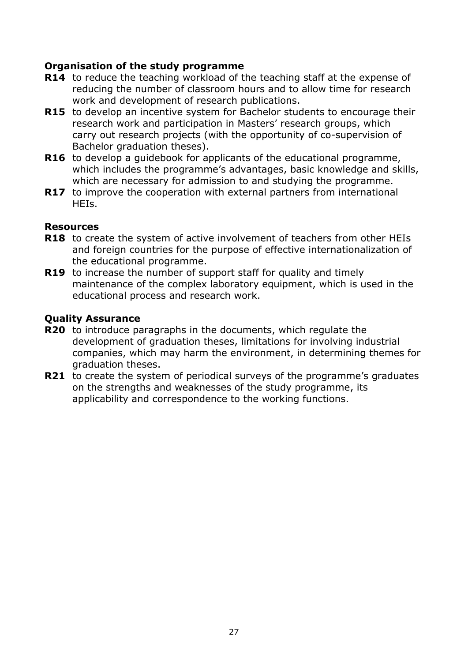#### **Organisation of the study programme**

- **R14** to reduce the teaching workload of the teaching staff at the expense of reducing the number of classroom hours and to allow time for research work and development of research publications.
- **R15** to develop an incentive system for Bachelor students to encourage their research work and participation in Masters' research groups, which carry out research projects (with the opportunity of co-supervision of Bachelor graduation theses).
- **R16** to develop a quidebook for applicants of the educational programme, which includes the programme's advantages, basic knowledge and skills, which are necessary for admission to and studying the programme.
- **R17** to improve the cooperation with external partners from international HEIs.

#### **Resources**

- **R18** to create the system of active involvement of teachers from other HEIs and foreign countries for the purpose of effective internationalization of the educational programme.
- **R19** to increase the number of support staff for quality and timely maintenance of the complex laboratory equipment, which is used in the educational process and research work.

## **Quality Assurance**

- **R20** to introduce paragraphs in the documents, which regulate the development of graduation theses, limitations for involving industrial companies, which may harm the environment, in determining themes for graduation theses.
- **R21** to create the system of periodical surveys of the programme's graduates on the strengths and weaknesses of the study programme, its applicability and correspondence to the working functions.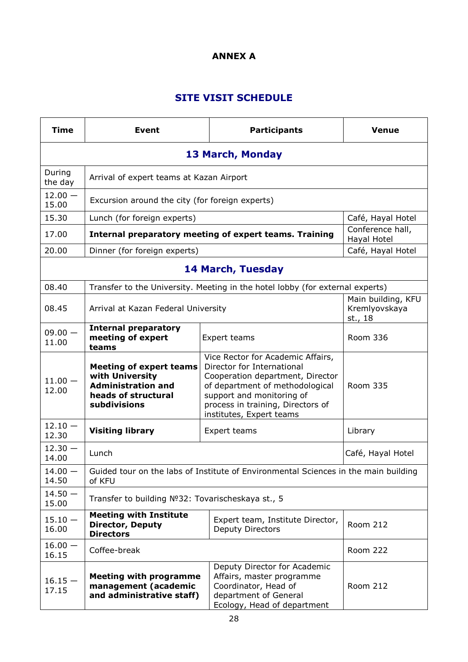#### **ANNEX А**

## **SITE VISIT SCHEDULE**

<span id="page-27-0"></span>

| <b>Time</b>                                                                                              | <b>Event</b>                                                                                                          |  | <b>Participants</b>                                                                                                                                                                                                                  | <b>Venue</b>                    |  |  |
|----------------------------------------------------------------------------------------------------------|-----------------------------------------------------------------------------------------------------------------------|--|--------------------------------------------------------------------------------------------------------------------------------------------------------------------------------------------------------------------------------------|---------------------------------|--|--|
| 13 March, Monday                                                                                         |                                                                                                                       |  |                                                                                                                                                                                                                                      |                                 |  |  |
| During<br>the day                                                                                        |                                                                                                                       |  |                                                                                                                                                                                                                                      |                                 |  |  |
| $12.00 -$<br>15.00                                                                                       | Excursion around the city (for foreign experts)                                                                       |  |                                                                                                                                                                                                                                      |                                 |  |  |
| 15.30                                                                                                    | Lunch (for foreign experts)                                                                                           |  |                                                                                                                                                                                                                                      | Café, Hayal Hotel               |  |  |
| 17.00                                                                                                    |                                                                                                                       |  | Internal preparatory meeting of expert teams. Training                                                                                                                                                                               | Conference hall,<br>Hayal Hotel |  |  |
| 20.00                                                                                                    | Dinner (for foreign experts)                                                                                          |  |                                                                                                                                                                                                                                      | Café, Hayal Hotel               |  |  |
|                                                                                                          |                                                                                                                       |  | <b>14 March, Tuesday</b>                                                                                                                                                                                                             |                                 |  |  |
| 08.40                                                                                                    |                                                                                                                       |  | Transfer to the University. Meeting in the hotel lobby (for external experts)                                                                                                                                                        |                                 |  |  |
| 08.45                                                                                                    | Arrival at Kazan Federal University                                                                                   |  | Main building, KFU<br>Kremlyovskaya<br>st., 18                                                                                                                                                                                       |                                 |  |  |
| $09.00 -$<br>11.00                                                                                       | <b>Internal preparatory</b><br>meeting of expert<br>teams                                                             |  | Expert teams                                                                                                                                                                                                                         | Room 336                        |  |  |
| $11.00 -$<br>12.00                                                                                       | <b>Meeting of expert teams</b><br>with University<br><b>Administration and</b><br>heads of structural<br>subdivisions |  | Vice Rector for Academic Affairs,<br>Director for International<br>Cooperation department, Director<br>of department of methodological<br>support and monitoring of<br>process in training, Directors of<br>institutes, Expert teams | Room 335                        |  |  |
| $12.10 -$<br>12.30                                                                                       | <b>Visiting library</b>                                                                                               |  | Expert teams                                                                                                                                                                                                                         | Library                         |  |  |
| $12.30 -$<br>14.00                                                                                       | Lunch                                                                                                                 |  |                                                                                                                                                                                                                                      | Café, Hayal Hotel               |  |  |
| $14.00 -$<br>14.50                                                                                       | of KFU                                                                                                                |  | Guided tour on the labs of Institute of Environmental Sciences in the main building                                                                                                                                                  |                                 |  |  |
| $14.50 -$<br>15.00                                                                                       | Transfer to building Nº32: Tovarischeskaya st., 5                                                                     |  |                                                                                                                                                                                                                                      |                                 |  |  |
| $15.10 -$<br>16.00                                                                                       | <b>Meeting with Institute</b><br><b>Director, Deputy</b><br><b>Directors</b>                                          |  | Expert team, Institute Director,<br>Deputy Directors                                                                                                                                                                                 | <b>Room 212</b>                 |  |  |
| $16.00 -$<br>16.15                                                                                       | Coffee-break                                                                                                          |  | <b>Room 222</b>                                                                                                                                                                                                                      |                                 |  |  |
| <b>Meeting with programme</b><br>$16.15 -$<br>management (academic<br>17.15<br>and administrative staff) |                                                                                                                       |  | Deputy Director for Academic<br>Affairs, master programme<br>Coordinator, Head of<br>department of General<br>Ecology, Head of department                                                                                            | <b>Room 212</b>                 |  |  |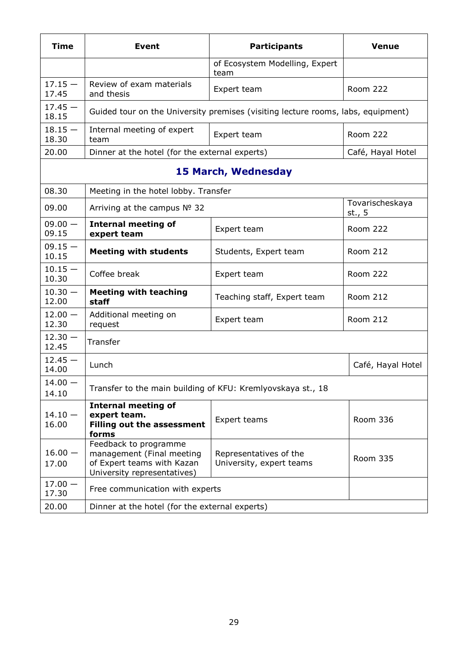| <b>Time</b>        | <b>Event</b>                                                                                                    | <b>Participants</b>                                                              | <b>Venue</b>              |
|--------------------|-----------------------------------------------------------------------------------------------------------------|----------------------------------------------------------------------------------|---------------------------|
|                    |                                                                                                                 | of Ecosystem Modelling, Expert<br>team                                           |                           |
| $17.15 -$<br>17.45 | Review of exam materials<br>and thesis                                                                          | Expert team                                                                      | <b>Room 222</b>           |
| $17.45 -$<br>18.15 |                                                                                                                 | Guided tour on the University premises (visiting lecture rooms, labs, equipment) |                           |
| $18.15 -$<br>18.30 | Internal meeting of expert<br>team                                                                              | Expert team                                                                      | <b>Room 222</b>           |
| 20.00              | Dinner at the hotel (for the external experts)                                                                  |                                                                                  | Café, Hayal Hotel         |
|                    |                                                                                                                 | <b>15 March, Wednesday</b>                                                       |                           |
| 08.30              | Meeting in the hotel lobby. Transfer                                                                            |                                                                                  |                           |
| 09.00              | Arriving at the campus Nº 32                                                                                    |                                                                                  | Tovarischeskaya<br>st., 5 |
| $09.00 -$<br>09.15 | <b>Internal meeting of</b><br>expert team                                                                       | Expert team                                                                      | <b>Room 222</b>           |
| $09.15 -$<br>10.15 | <b>Meeting with students</b>                                                                                    | Students, Expert team                                                            | <b>Room 212</b>           |
| $10.15 -$<br>10.30 | Coffee break                                                                                                    | Expert team                                                                      | <b>Room 222</b>           |
| $10.30 -$<br>12.00 | <b>Meeting with teaching</b><br>staff                                                                           | Teaching staff, Expert team                                                      | <b>Room 212</b>           |
| $12.00 -$<br>12.30 | Additional meeting on<br>request                                                                                | Expert team                                                                      | <b>Room 212</b>           |
| $12.30 -$<br>12.45 | Transfer                                                                                                        |                                                                                  |                           |
| $12.45 -$<br>14.00 | Lunch                                                                                                           |                                                                                  | Café, Hayal Hotel         |
| $14.00 -$<br>14.10 | Transfer to the main building of KFU: Kremlyovskaya st., 18                                                     |                                                                                  |                           |
| $14.10 -$<br>16.00 | <b>Internal meeting of</b><br>expert team.<br><b>Filling out the assessment</b><br>forms                        | Expert teams                                                                     | Room 336                  |
| $16.00 -$<br>17.00 | Feedback to programme<br>management (Final meeting<br>of Expert teams with Kazan<br>University representatives) | Representatives of the<br>University, expert teams                               | Room 335                  |
| $17.00 -$<br>17.30 | Free communication with experts                                                                                 |                                                                                  |                           |
| 20.00              | Dinner at the hotel (for the external experts)                                                                  |                                                                                  |                           |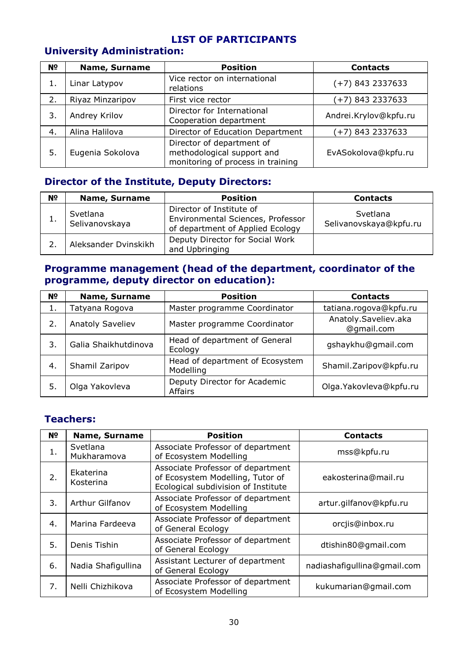#### **LIST OF PARTICIPANTS**

## **University Administration:**

| N <sub>o</sub> | <b>Name, Surname</b> | <b>Position</b>                                                                              | <b>Contacts</b>       |
|----------------|----------------------|----------------------------------------------------------------------------------------------|-----------------------|
|                | Linar Latypov        | Vice rector on international<br>relations                                                    | $(+7)$ 843 2337633    |
| 2.             | Riyaz Minzaripov     | First vice rector                                                                            | (+7) 843 2337633      |
| 3.             | Andrey Krilov        | Director for International<br>Cooperation department                                         | Andrei.Krylov@kpfu.ru |
| 4.             | Alina Halilova       | Director of Education Department                                                             | (+7) 843 2337633      |
| 5.             | Eugenia Sokolova     | Director of department of<br>methodological support and<br>monitoring of process in training | EvASokolova@kpfu.ru   |

#### **Director of the Institute, Deputy Directors:**

| N <sup>o</sup> | <b>Name, Surname</b>       | <b>Position</b>                                                                                   | <b>Contacts</b>                    |
|----------------|----------------------------|---------------------------------------------------------------------------------------------------|------------------------------------|
|                | Svetlana<br>Selivanovskaya | Director of Institute of<br>Environmental Sciences, Professor<br>of department of Applied Ecology | Svetlana<br>Selivanovskaya@kpfu.ru |
|                | Aleksander Dvinskikh       | Deputy Director for Social Work<br>and Upbringing                                                 |                                    |

#### **Programme management (head of the department, coordinator of the programme, deputy director on education):**

| N <sub>2</sub> | <b>Name, Surname</b>    | <b>Position</b>                              | <b>Contacts</b>                    |
|----------------|-------------------------|----------------------------------------------|------------------------------------|
| 1.             | Tatyana Rogova          | Master programme Coordinator                 | tatiana.rogova@kpfu.ru             |
| 2.             | <b>Anatoly Saveliev</b> | Master programme Coordinator                 | Anatoly.Saveliev.aka<br>@gmail.com |
| 3.             | Galia Shaikhutdinova    | Head of department of General<br>Ecology     | gshaykhu@gmail.com                 |
| 4.             | Shamil Zaripov          | Head of department of Ecosystem<br>Modelling | Shamil.Zaripov@kpfu.ru             |
| 5.             | Olga Yakovleva          | Deputy Director for Academic<br>Affairs      | Olga. Yakovleva@kpfu.ru            |

#### **Teachers:**

| N <sub>2</sub> | <b>Name, Surname</b>    | <b>Position</b>                                                                                              | <b>Contacts</b>             |  |
|----------------|-------------------------|--------------------------------------------------------------------------------------------------------------|-----------------------------|--|
| 1.             | Svetlana<br>Mukharamova | Associate Professor of department<br>of Ecosystem Modelling                                                  | mss@kpfu.ru                 |  |
| 2.             | Ekaterina<br>Kosterina  | Associate Professor of department<br>of Ecosystem Modelling, Tutor of<br>Ecological subdivision of Institute | eakosterina@mail.ru         |  |
| 3.             | Arthur Gilfanov         | Associate Professor of department<br>of Ecosystem Modelling                                                  | artur.gilfanov@kpfu.ru      |  |
| 4.             | Marina Fardeeva         | Associate Professor of department<br>of General Ecology                                                      | orcjis@inbox.ru             |  |
| 5.             | Denis Tishin            | Associate Professor of department<br>of General Ecology                                                      | dtishin80@gmail.com         |  |
| 6.             | Nadia Shafigullina      | Assistant Lecturer of department<br>of General Ecology                                                       | nadiashafigullina@gmail.com |  |
| 7.             | Nelli Chizhikova        | Associate Professor of department<br>of Ecosystem Modelling                                                  | kukumarian@gmail.com        |  |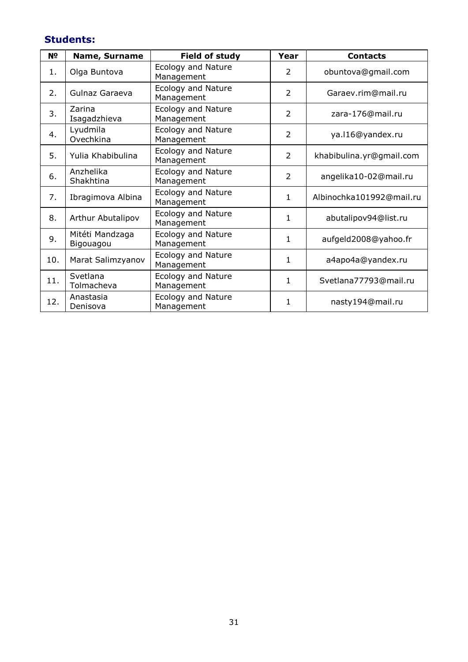## **Students:**

| N <sup>o</sup> | <b>Name, Surname</b>         | Field of study                          | Year           | <b>Contacts</b>          |  |
|----------------|------------------------------|-----------------------------------------|----------------|--------------------------|--|
| 1.             | Olga Buntova                 | Ecology and Nature<br>Management        | 2              | obuntova@gmail.com       |  |
| 2.             | Gulnaz Garaeva               | <b>Ecology and Nature</b><br>Management | 2              | Garaev.rim@mail.ru       |  |
| 3.             | Zarina<br>Isagadzhieva       | <b>Ecology and Nature</b><br>Management | $\overline{2}$ | zara-176@mail.ru         |  |
| 4.             | Lyudmila<br>Ovechkina        | <b>Ecology and Nature</b><br>Management | 2              | ya.116@yandex.ru         |  |
| 5.             | Yulia Khabibulina            | <b>Ecology and Nature</b><br>Management | 2              | khabibulina.yr@gmail.com |  |
| 6.             | Anzhelika<br>Shakhtina       | <b>Ecology and Nature</b><br>Management | $\overline{2}$ | angelika10-02@mail.ru    |  |
| 7.             | Ibragimova Albina            | <b>Ecology and Nature</b><br>Management | $\mathbf{1}$   | Albinochka101992@mail.ru |  |
| 8.             | Arthur Abutalipov            | <b>Ecology and Nature</b><br>Management | $\mathbf{1}$   | abutalipov94@list.ru     |  |
| 9.             | Mitéti Mandzaga<br>Bigouagou | <b>Ecology and Nature</b><br>Management | $\mathbf{1}$   | aufgeld2008@yahoo.fr     |  |
| 10.            | Marat Salimzyanov            | <b>Ecology and Nature</b><br>Management | $\mathbf{1}$   | a4apo4a@yandex.ru        |  |
| 11.            | Svetlana<br>Tolmacheva       | <b>Ecology and Nature</b><br>Management | $\mathbf{1}$   | Svetlana77793@mail.ru    |  |
| 12.            | Anastasia<br>Denisova        | <b>Ecology and Nature</b><br>Management | $\mathbf{1}$   | nasty194@mail.ru         |  |